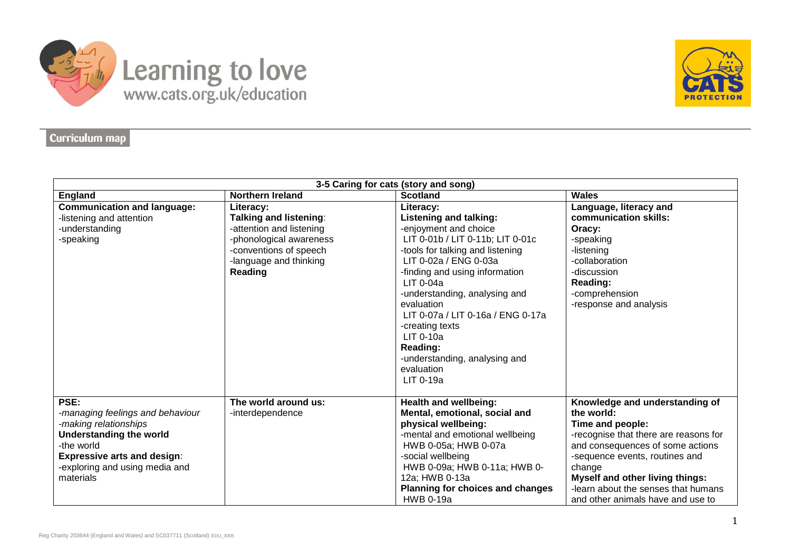

## Learning to love



## Curriculum map

| 3-5 Caring for cats (story and song)                                                                                                                                                                   |                                                                                                                                                                  |                                                                                                                                                                                                                                                                                                                                                                                                                     |                                                                                                                                                                                                                                                                                                                 |  |
|--------------------------------------------------------------------------------------------------------------------------------------------------------------------------------------------------------|------------------------------------------------------------------------------------------------------------------------------------------------------------------|---------------------------------------------------------------------------------------------------------------------------------------------------------------------------------------------------------------------------------------------------------------------------------------------------------------------------------------------------------------------------------------------------------------------|-----------------------------------------------------------------------------------------------------------------------------------------------------------------------------------------------------------------------------------------------------------------------------------------------------------------|--|
| <b>England</b>                                                                                                                                                                                         | <b>Northern Ireland</b>                                                                                                                                          | <b>Scotland</b>                                                                                                                                                                                                                                                                                                                                                                                                     | <b>Wales</b>                                                                                                                                                                                                                                                                                                    |  |
| <b>Communication and language:</b><br>-listening and attention<br>-understanding<br>-speaking                                                                                                          | Literacy:<br><b>Talking and listening:</b><br>-attention and listening<br>-phonological awareness<br>-conventions of speech<br>-language and thinking<br>Reading | Literacy:<br><b>Listening and talking:</b><br>-enjoyment and choice<br>LIT 0-01b / LIT 0-11b; LIT 0-01c<br>-tools for talking and listening<br>LIT 0-02a / ENG 0-03a<br>-finding and using information<br>$LIT$ 0-04a<br>-understanding, analysing and<br>evaluation<br>LIT 0-07a / LIT 0-16a / ENG 0-17a<br>-creating texts<br>$LIT$ 0-10a<br>Reading:<br>-understanding, analysing and<br>evaluation<br>LIT 0-19a | Language, literacy and<br>communication skills:<br>Oracy:<br>-speaking<br>-listening<br>-collaboration<br>-discussion<br>Reading:<br>-comprehension<br>-response and analysis                                                                                                                                   |  |
| PSE:<br>-managing feelings and behaviour<br>-making relationships<br><b>Understanding the world</b><br>-the world<br><b>Expressive arts and design:</b><br>-exploring and using media and<br>materials | The world around us:<br>-interdependence                                                                                                                         | <b>Health and wellbeing:</b><br>Mental, emotional, social and<br>physical wellbeing:<br>-mental and emotional wellbeing<br>HWB 0-05a; HWB 0-07a<br>-social wellbeing<br>HWB 0-09a; HWB 0-11a; HWB 0-<br>12a; HWB 0-13a<br>Planning for choices and changes<br><b>HWB 0-19a</b>                                                                                                                                      | Knowledge and understanding of<br>the world:<br>Time and people:<br>-recognise that there are reasons for<br>and consequences of some actions<br>-sequence events, routines and<br>change<br><b>Myself and other living things:</b><br>-learn about the senses that humans<br>and other animals have and use to |  |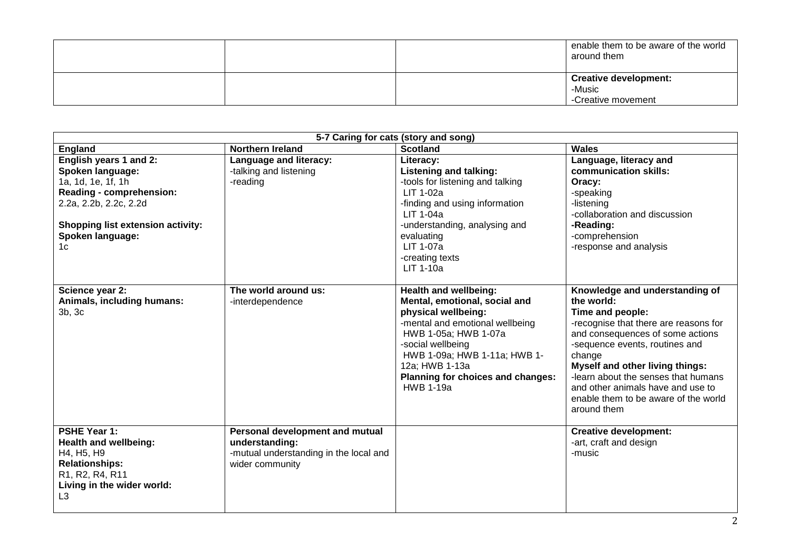|  | enable them to be aware of the world<br>around them |
|--|-----------------------------------------------------|
|  | <b>Creative development:</b>                        |
|  | -Music                                              |
|  | -Creative movement                                  |

| 5-7 Caring for cats (story and song)                                                                                                                                                                       |                                                                                                                |                                                                                                                                                                                                                                                                          |                                                                                                                                                                                                                                                                                                                                                                        |  |
|------------------------------------------------------------------------------------------------------------------------------------------------------------------------------------------------------------|----------------------------------------------------------------------------------------------------------------|--------------------------------------------------------------------------------------------------------------------------------------------------------------------------------------------------------------------------------------------------------------------------|------------------------------------------------------------------------------------------------------------------------------------------------------------------------------------------------------------------------------------------------------------------------------------------------------------------------------------------------------------------------|--|
| <b>England</b>                                                                                                                                                                                             | <b>Northern Ireland</b>                                                                                        | <b>Scotland</b>                                                                                                                                                                                                                                                          | <b>Wales</b>                                                                                                                                                                                                                                                                                                                                                           |  |
| English years 1 and 2:<br><b>Spoken language:</b><br>1a, 1d, 1e, 1f, 1h<br>Reading - comprehension:<br>2.2a, 2.2b, 2.2c, 2.2d<br><b>Shopping list extension activity:</b><br><b>Spoken language:</b><br>1c | Language and literacy:<br>-talking and listening<br>-reading                                                   | Literacy:<br><b>Listening and talking:</b><br>-tools for listening and talking<br>LIT 1-02a<br>-finding and using information<br>LIT 1-04a<br>-understanding, analysing and<br>evaluating<br><b>LIT 1-07a</b><br>-creating texts<br>LIT 1-10a                            | Language, literacy and<br>communication skills:<br>Oracy:<br>-speaking<br>-listening<br>-collaboration and discussion<br>-Reading:<br>-comprehension<br>-response and analysis                                                                                                                                                                                         |  |
| Science year 2:<br>Animals, including humans:<br>3b, 3c                                                                                                                                                    | The world around us:<br>-interdependence                                                                       | Health and wellbeing:<br>Mental, emotional, social and<br>physical wellbeing:<br>-mental and emotional wellbeing<br>HWB 1-05a; HWB 1-07a<br>-social wellbeing<br>HWB 1-09a; HWB 1-11a; HWB 1-<br>12a; HWB 1-13a<br>Planning for choices and changes:<br><b>HWB 1-19a</b> | Knowledge and understanding of<br>the world:<br>Time and people:<br>-recognise that there are reasons for<br>and consequences of some actions<br>-sequence events, routines and<br>change<br><b>Myself and other living things:</b><br>-learn about the senses that humans<br>and other animals have and use to<br>enable them to be aware of the world<br>around them |  |
| PSHE Year 1:<br><b>Health and wellbeing:</b><br>H4, H5, H9<br><b>Relationships:</b><br>R1, R2, R4, R11<br>Living in the wider world:<br>L3                                                                 | Personal development and mutual<br>understanding:<br>-mutual understanding in the local and<br>wider community |                                                                                                                                                                                                                                                                          | <b>Creative development:</b><br>-art, craft and design<br>-music                                                                                                                                                                                                                                                                                                       |  |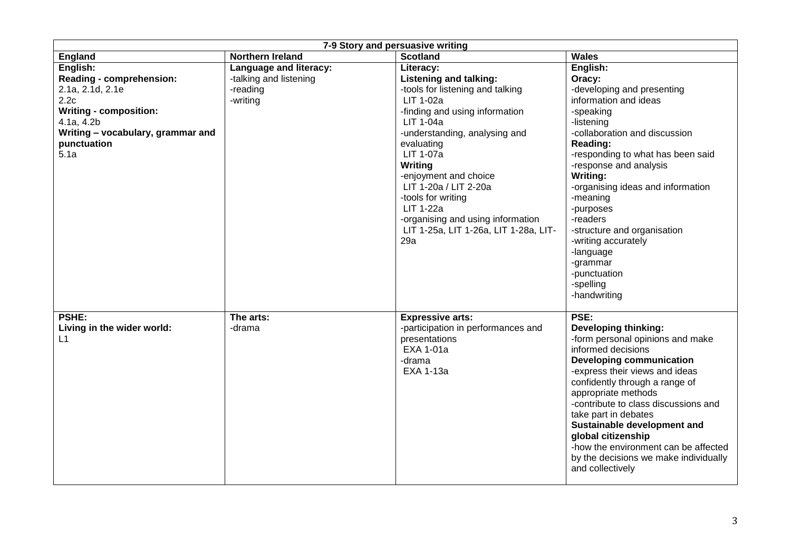| 7-9 Story and persuasive writing  |                         |                                       |                                       |  |
|-----------------------------------|-------------------------|---------------------------------------|---------------------------------------|--|
| England                           | <b>Northern Ireland</b> | <b>Scotland</b>                       | <b>Wales</b>                          |  |
| English:                          | Language and literacy:  | Literacy:                             | English:                              |  |
| Reading - comprehension:          | -talking and listening  | Listening and talking:                | Oracy:                                |  |
| 2.1a, 2.1d, 2.1e                  | -reading                | -tools for listening and talking      | -developing and presenting            |  |
| 2.2c                              | -writing                | LIT 1-02a                             | information and ideas                 |  |
| <b>Writing - composition:</b>     |                         | -finding and using information        | -speaking                             |  |
| 4.1a, 4.2b                        |                         | <b>LIT 1-04a</b>                      | -listening                            |  |
| Writing - vocabulary, grammar and |                         | -understanding, analysing and         | -collaboration and discussion         |  |
| punctuation                       |                         | evaluating                            | <b>Reading:</b>                       |  |
| 5.1a                              |                         | LIT 1-07a                             | -responding to what has been said     |  |
|                                   |                         | <b>Writing</b>                        | -response and analysis                |  |
|                                   |                         | -enjoyment and choice                 | Writing:                              |  |
|                                   |                         | LIT 1-20a / LIT 2-20a                 | -organising ideas and information     |  |
|                                   |                         | -tools for writing                    | -meaning                              |  |
|                                   |                         | <b>LIT 1-22a</b>                      | -purposes                             |  |
|                                   |                         | -organising and using information     | -readers                              |  |
|                                   |                         | LIT 1-25a, LIT 1-26a, LIT 1-28a, LIT- | -structure and organisation           |  |
|                                   |                         | 29a                                   | -writing accurately                   |  |
|                                   |                         |                                       | -language                             |  |
|                                   |                         |                                       | -grammar                              |  |
|                                   |                         |                                       | -punctuation                          |  |
|                                   |                         |                                       | -spelling                             |  |
|                                   |                         |                                       | -handwriting                          |  |
|                                   |                         |                                       |                                       |  |
| PSHE:                             | The arts:               | <b>Expressive arts:</b>               | PSE:                                  |  |
| Living in the wider world:        | -drama                  | -participation in performances and    | <b>Developing thinking:</b>           |  |
| L1                                |                         | presentations                         | -form personal opinions and make      |  |
|                                   |                         | EXA 1-01a                             | informed decisions                    |  |
|                                   |                         | -drama                                | <b>Developing communication</b>       |  |
|                                   |                         | <b>EXA 1-13a</b>                      | -express their views and ideas        |  |
|                                   |                         |                                       | confidently through a range of        |  |
|                                   |                         |                                       | appropriate methods                   |  |
|                                   |                         |                                       | -contribute to class discussions and  |  |
|                                   |                         |                                       | take part in debates                  |  |
|                                   |                         |                                       | Sustainable development and           |  |
|                                   |                         |                                       | global citizenship                    |  |
|                                   |                         |                                       | -how the environment can be affected  |  |
|                                   |                         |                                       | by the decisions we make individually |  |
|                                   |                         |                                       | and collectively                      |  |
|                                   |                         |                                       |                                       |  |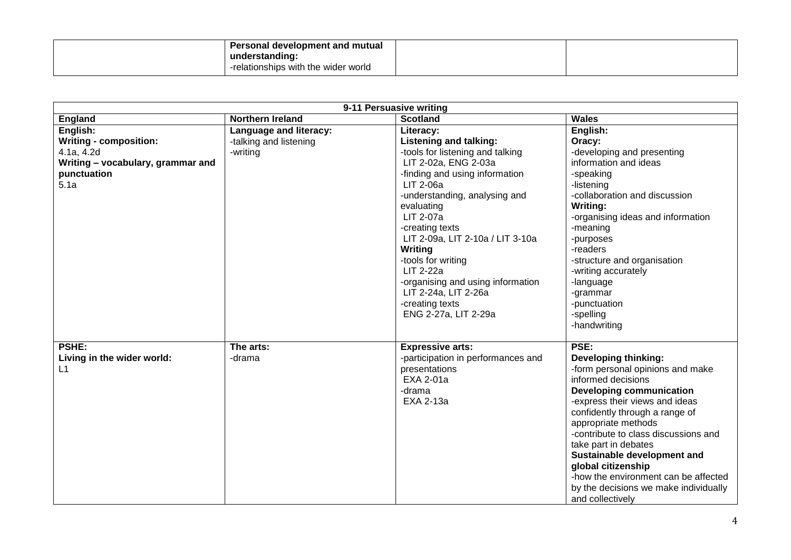| <b>Personal development and mutual</b><br>understanding: |  |
|----------------------------------------------------------|--|
| -relationships with the wider world                      |  |

| 9-11 Persuasive writing                                                                                             |                                                              |                                                                                                                                                                                                                                                                                                                                                                                                                                       |                                                                                                                                                                                                                                                                                                                                                                                                                                                       |  |
|---------------------------------------------------------------------------------------------------------------------|--------------------------------------------------------------|---------------------------------------------------------------------------------------------------------------------------------------------------------------------------------------------------------------------------------------------------------------------------------------------------------------------------------------------------------------------------------------------------------------------------------------|-------------------------------------------------------------------------------------------------------------------------------------------------------------------------------------------------------------------------------------------------------------------------------------------------------------------------------------------------------------------------------------------------------------------------------------------------------|--|
| England                                                                                                             | <b>Northern Ireland</b>                                      | <b>Scotland</b>                                                                                                                                                                                                                                                                                                                                                                                                                       | <b>Wales</b>                                                                                                                                                                                                                                                                                                                                                                                                                                          |  |
| English:<br><b>Writing - composition:</b><br>4.1a, 4.2d<br>Writing - vocabulary, grammar and<br>punctuation<br>5.1a | Language and literacy:<br>-talking and listening<br>-writing | Literacy:<br><b>Listening and talking:</b><br>-tools for listening and talking<br>LIT 2-02a, ENG 2-03a<br>-finding and using information<br>LIT 2-06a<br>-understanding, analysing and<br>evaluating<br>LIT 2-07a<br>-creating texts<br>LIT 2-09a, LIT 2-10a / LIT 3-10a<br>Writing<br>-tools for writing<br><b>LIT 2-22a</b><br>-organising and using information<br>LIT 2-24a, LIT 2-26a<br>-creating texts<br>ENG 2-27a, LIT 2-29a | English:<br>Oracy:<br>-developing and presenting<br>information and ideas<br>-speaking<br>-listening<br>-collaboration and discussion<br><b>Writing:</b><br>-organising ideas and information<br>-meaning<br>-purposes<br>-readers<br>-structure and organisation<br>-writing accurately<br>-language<br>-grammar<br>-punctuation<br>-spelling<br>-handwriting                                                                                        |  |
| <b>PSHE:</b><br>Living in the wider world:<br>L1                                                                    | The arts:<br>-drama                                          | <b>Expressive arts:</b><br>-participation in performances and<br>presentations<br>EXA 2-01a<br>-drama<br>EXA 2-13a                                                                                                                                                                                                                                                                                                                    | PSE:<br><b>Developing thinking:</b><br>-form personal opinions and make<br>informed decisions<br><b>Developing communication</b><br>-express their views and ideas<br>confidently through a range of<br>appropriate methods<br>-contribute to class discussions and<br>take part in debates<br>Sustainable development and<br>global citizenship<br>-how the environment can be affected<br>by the decisions we make individually<br>and collectively |  |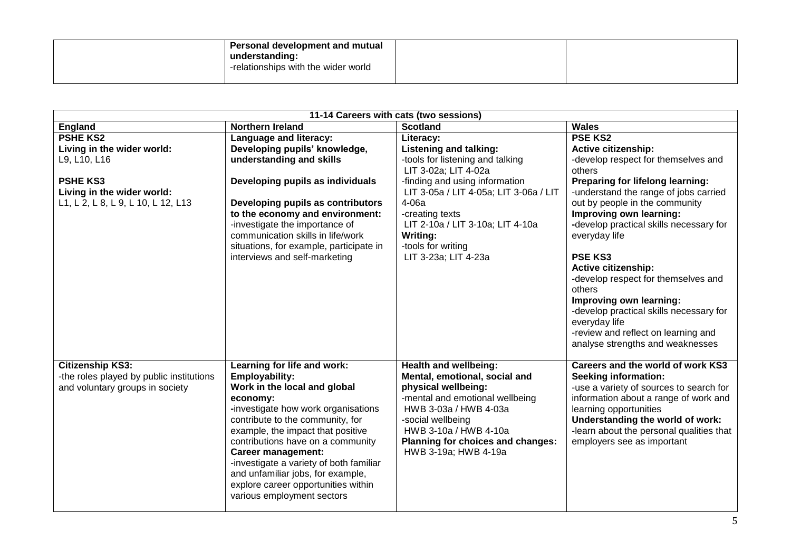| Personal development and mutual<br>understanding:<br>-relationships with the wider world |  |
|------------------------------------------------------------------------------------------|--|
|                                                                                          |  |

| 11-14 Careers with cats (two sessions)                                                                                                               |                                                                                                                                                                                                                                                                                                                                                                                                                                         |                                                                                                                                                                                                                                                                                                              |                                                                                                                                                                                                                                                                                                                                                                                                                                                                                                                                                                        |
|------------------------------------------------------------------------------------------------------------------------------------------------------|-----------------------------------------------------------------------------------------------------------------------------------------------------------------------------------------------------------------------------------------------------------------------------------------------------------------------------------------------------------------------------------------------------------------------------------------|--------------------------------------------------------------------------------------------------------------------------------------------------------------------------------------------------------------------------------------------------------------------------------------------------------------|------------------------------------------------------------------------------------------------------------------------------------------------------------------------------------------------------------------------------------------------------------------------------------------------------------------------------------------------------------------------------------------------------------------------------------------------------------------------------------------------------------------------------------------------------------------------|
| England                                                                                                                                              | <b>Northern Ireland</b>                                                                                                                                                                                                                                                                                                                                                                                                                 | <b>Scotland</b>                                                                                                                                                                                                                                                                                              | <b>Wales</b>                                                                                                                                                                                                                                                                                                                                                                                                                                                                                                                                                           |
| <b>PSHE KS2</b><br>Living in the wider world:<br>L9, L10, L16<br><b>PSHE KS3</b><br>Living in the wider world:<br>L1, L 2, L 8, L 9, L 10, L 12, L13 | Language and literacy:<br>Developing pupils' knowledge,<br>understanding and skills<br>Developing pupils as individuals<br>Developing pupils as contributors<br>to the economy and environment:<br>-investigate the importance of<br>communication skills in life/work<br>situations, for example, participate in<br>interviews and self-marketing                                                                                      | Literacy:<br><b>Listening and talking:</b><br>-tools for listening and talking<br>LIT 3-02a; LIT 4-02a<br>-finding and using information<br>LIT 3-05a / LIT 4-05a; LIT 3-06a / LIT<br>4-06a<br>-creating texts<br>LIT 2-10a / LIT 3-10a; LIT 4-10a<br>Writing:<br>-tools for writing<br>LIT 3-23a; LIT 4-23a | <b>PSE KS2</b><br><b>Active citizenship:</b><br>-develop respect for themselves and<br>others<br>Preparing for lifelong learning:<br>-understand the range of jobs carried<br>out by people in the community<br>Improving own learning:<br>-develop practical skills necessary for<br>everyday life<br><b>PSE KS3</b><br><b>Active citizenship:</b><br>-develop respect for themselves and<br>others<br>Improving own learning:<br>-develop practical skills necessary for<br>everyday life<br>-review and reflect on learning and<br>analyse strengths and weaknesses |
| <b>Citizenship KS3:</b><br>-the roles played by public institutions<br>and voluntary groups in society                                               | Learning for life and work:<br><b>Employability:</b><br>Work in the local and global<br>economy:<br>-investigate how work organisations<br>contribute to the community, for<br>example, the impact that positive<br>contributions have on a community<br><b>Career management:</b><br>-investigate a variety of both familiar<br>and unfamiliar jobs, for example,<br>explore career opportunities within<br>various employment sectors | Health and wellbeing:<br>Mental, emotional, social and<br>physical wellbeing:<br>-mental and emotional wellbeing<br>HWB 3-03a / HWB 4-03a<br>-social wellbeing<br>HWB 3-10a / HWB 4-10a<br>Planning for choices and changes:<br>HWB 3-19a; HWB 4-19a                                                         | Careers and the world of work KS3<br><b>Seeking information:</b><br>-use a variety of sources to search for<br>information about a range of work and<br>learning opportunities<br>Understanding the world of work:<br>-learn about the personal qualities that<br>employers see as important                                                                                                                                                                                                                                                                           |